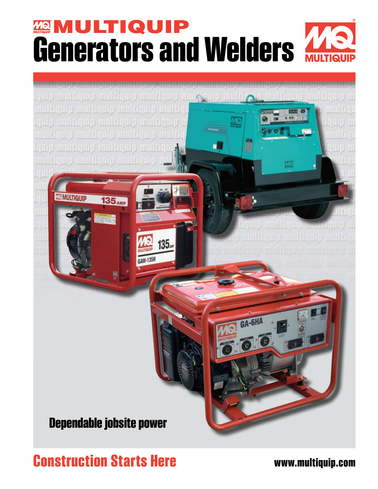# **Generators and Welders A**



**Construction Starts Here www.multiquip.com**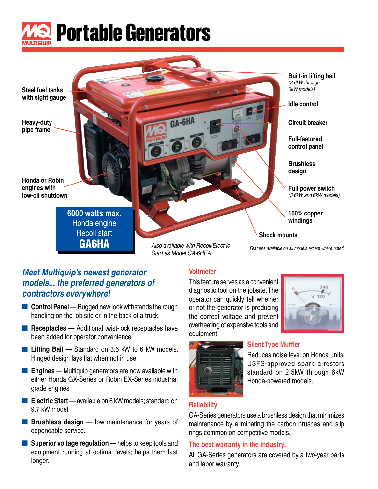

**Steel fuel tanks with sight gauge**

**Heavy-duty pipe frame**

**Honda or Robin engines with low-oil shutdown**

> **6000 watts max.** Honda engine Recoil start GA6HA

*Also available with Recoil/Electric* 

GA-6HA

*Start as Model GA-6HEA*

**Built-in lifting bail** *(3.6kW through 6kW models)*

**Idle control**

**Circuit breaker**

**Full-featured control panel**

**Brushless design**

**Full power switch** *(3.6kW and 6kW models)*

**100% copper windings** 

#### **Shock mounts**

*Features available on all models except where noted.*

### *Meet Multiquip's newest generator models... the preferred generators of contractors everywhere!*

- **Control Panel** Rugged new look withstands the rough handling on the job site or in the back of a truck.
- **Receptacles** Additional twist-lock receptacles have been added for operator convenience.
- **Lifting Bail** Standard on 3.6 kW to 6 kW models. Hinged design lays flat when not in use.
- **Engines** Multiquip generators are now available with either Honda GX-Series or Robin EX-Series industrial grade engines.
- **Electric Start** available on 6 kW models; standard on 9.7 kW model.
- **Brushless design** low maintenance for years of dependable service.
- **Superior voltage regulation** helps to keep tools and equipment running at optimal levels; helps them last longer.

### **Voltmeter**

This feature serves as a convenient diagnostic tool on the jobsite. The operator can quickly tell whether or not the generator is producing the correct voltage and prevent overheating of expensive tools and equipment.





### **Silent Type Muffler**

Reduces noise level on Honda units. USFS-approved spark arrestors standard on 2.5kW through 6kW Honda-powered models.

### **Reliability**

GA-Series generators use a brushless design that minimizes maintenance by eliminating the carbon brushes and slip rings common on competitive models.

#### **The best warranty in the industry.**

All GA-Series generators are covered by a two-year parts and labor warranty.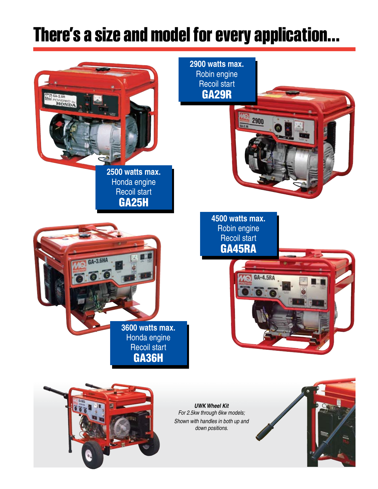### **There's a size and model for every application...**

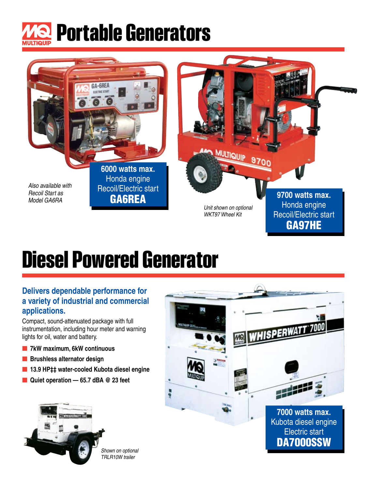



# **Diesel Powered Generator**

### **Delivers dependable performance for a variety of industrial and commercial applications.**

Compact, sound-attenuated package with full instrumentation, including hour meter and warning lights for oil, water and battery.

- **7kW maximum, 6kW continuous**
- **Brushless alternator design**
- **13.9 HP‡‡ water-cooled Kubota diesel engine**
- Quiet operation 65.7 dBA <sup>@</sup> 23 feet



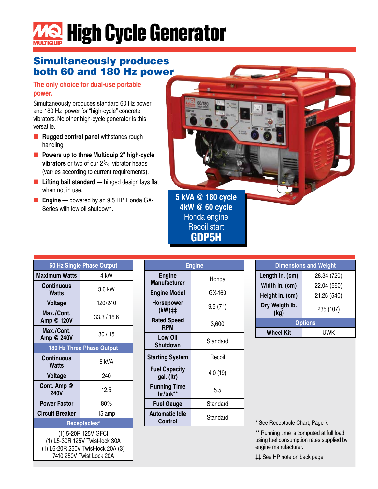# **High Cycle Generator**

### Simultaneously produces both 60 and 180 Hz power

### **The only choice for dual-use portable power.**

Simultaneously produces standard 60 Hz power and 180 Hz power for "high-cycle" concrete vibrators. No other high-cycle generator is this versatile.

- **Rugged control panel** withstands rough handling
- **Powers up to three Multiquip 2" high-cycle vibrators** or two of our 2<sup>5</sup>/<sub>8</sub>" vibrator heads (varries according to current requirements).
- Lifting bail standard hinged design lays flat when not in use.
- **Engine** powered by an 9.5 HP Honda GX-Series with low oil shutdown.



| 60 Hz Single Phase Output                                                                                               |                           |  |  |  |  |  |
|-------------------------------------------------------------------------------------------------------------------------|---------------------------|--|--|--|--|--|
| <b>Maximum Watts</b>                                                                                                    | 4 kW                      |  |  |  |  |  |
| <b>Continuous</b><br><b>Watts</b>                                                                                       | 3.6 kW                    |  |  |  |  |  |
| <b>Voltage</b>                                                                                                          | 120/240                   |  |  |  |  |  |
| Max./Cont.<br>Amp @ 120V                                                                                                | 33.3 / 16.6               |  |  |  |  |  |
| Max./Cont.<br>Amp @ 240V                                                                                                | 30/15                     |  |  |  |  |  |
|                                                                                                                         | 180 Hz Three Phase Output |  |  |  |  |  |
| Continuous<br>Watts                                                                                                     | 5 kVA                     |  |  |  |  |  |
| <b>Voltage</b>                                                                                                          | 240                       |  |  |  |  |  |
| Cont. Amp @<br><b>240V</b>                                                                                              | 12.5                      |  |  |  |  |  |
| <b>Power Factor</b>                                                                                                     | 80%                       |  |  |  |  |  |
| <b>Circuit Breaker</b>                                                                                                  | 15 amp                    |  |  |  |  |  |
| Receptacles*                                                                                                            |                           |  |  |  |  |  |
| (1) 5-20R 125V GFCI<br>(1) L5-30R 125V Twist-lock 30A<br>(1) L6-20R 250V Twist-lock 20A (3)<br>7410 250V Twist Lock 20A |                           |  |  |  |  |  |

|                                      | <b>Engine</b> |
|--------------------------------------|---------------|
| <b>Engine</b><br><b>Manufacturer</b> | Honda         |
| <b>Engine Model</b>                  | GX-160        |
| <b>Horsepower</b><br>$(kW)$ ##       | 9.5(7.1)      |
| <b>Rated Speed</b><br><b>RPM</b>     | 3,600         |
| <b>Low Oil</b><br><b>Shutdown</b>    | Standard      |
| <b>Starting System</b>               | Recoil        |
| <b>Fuel Capacity</b><br>gal. (Itr)   | 4.0(19)       |
| <b>Running Time</b><br>hr/tnk**      | 5.5           |
| <b>Fuel Gauge</b>                    | Standard      |
| <b>Automatic Idle</b><br>Control     | Standard      |

GDP5H

| <b>Dimensions and Weight</b> |             |  |  |  |  |
|------------------------------|-------------|--|--|--|--|
| Length in. (cm)              | 28.34 (720) |  |  |  |  |
| Width in. (cm)               | 22.04 (560) |  |  |  |  |
| Height in. (cm)              | 21.25 (540) |  |  |  |  |
| Dry Weigth Ib.<br>(kg)       | 235 (107)   |  |  |  |  |
| <b>Options</b>               |             |  |  |  |  |
| <b>Wheel Kit</b>             | UWK         |  |  |  |  |

\* See Receptacle Chart, Page 7.

\*\* Running time is computed at full load using fuel consumption rates supplied by engine manufacturer.

‡‡ See HP note on back page.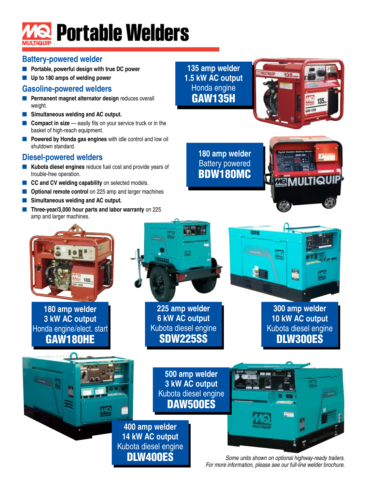# **Portable Welders**

### **Battery-powered welder**

- **Portable, powerful design with true DC power**
- **Up to 180 amps of welding power**

### **Gasoline-powered welders**

- Permanent magnet alternator design reduces overall weight.
- **Simultaneous welding and AC output.**
- **Compact in size** easily fits on your service truck or in the basket of high-reach equipment.
- **Powered by Honda gas engines** with idle control and low oil shutdown standard.

### **Diesel-powered welders**

- **Kubota diesel engines** reduce fuel cost and provide years of trouble-free operation.
- **CC and CV welding capability** on selected models.
- **Optional remote control** on 225 amp and larger machines
- Simultaneous welding and AC output.
- **Three-year/3,000 hour parts and labor warranty on 225** amp and larger machines.





**180 amp welder** Battery powered BDW180MC

223



**300 amp welder 10 kW AC output** Kubota diesel engine DLW300ES

E



**180 amp welder 3 kW AC output** Honda engine/elect. start GAW180HE



**225 amp welder 6 kW AC output** Kubota diesel engine SDW225SS

> **500 amp welder 3 kW AC output** Kubota diesel engine DAW500ES



*Some units shown on optional highway-ready trailers. For more information, please see our full-line welder brochure.*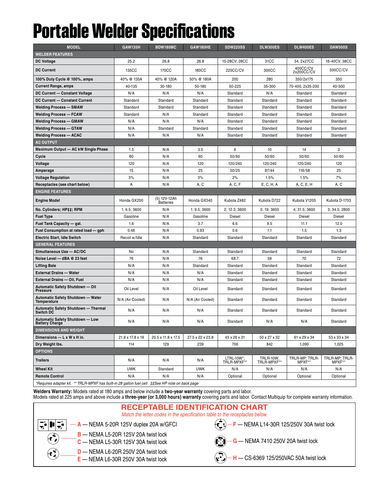# **Portable Welder Specifications**

| <b>MODEL</b>                                                                          | <b>GAW135H</b>   | BDW180MC                         | GAW180HE         | <b>SDW225SS</b>           | DLW300ES                 | DLW400ES                 | <b>DAW500S</b>           |  |  |  |
|---------------------------------------------------------------------------------------|------------------|----------------------------------|------------------|---------------------------|--------------------------|--------------------------|--------------------------|--|--|--|
| <b>WELDER FEATURES</b>                                                                |                  |                                  |                  |                           |                          |                          |                          |  |  |  |
| <b>DC Voltage</b>                                                                     | 25.2             | 26.8                             | 26.8             | 15-28CV, 28CC             | 31CC                     | 34.2x27CC                | 16-40CV, 38CC            |  |  |  |
| <b>DC Current</b>                                                                     | 135CC            | 170CC                            | <b>180CC</b>     | 225CC/CV                  | 300CC                    | 400CC/CV<br>2x200CC/CV   | 500CC/CV                 |  |  |  |
| 100% Duty Cycle @ 100%, amps                                                          | 40% @ 135A       | 40% @ 120A                       | 50% @ 180A       | 200                       | 280                      | 350/2x175                | 350                      |  |  |  |
| <b>Current Range, amps</b>                                                            | 40-135           | 30-180                           | 50-180           | 50-225                    | 35-300                   | 70-400, 2x35-200         | 40-500                   |  |  |  |
| DC Current - Constant Voltage                                                         | N/A              | N/A                              | N/A              | Standard                  | N/A                      | Standard                 | Standard                 |  |  |  |
| DC Current - Constant Current                                                         | Standard         | Standard                         | Standard         | Standard                  | Standard                 | Standard                 | Standard                 |  |  |  |
| Welding Process — SMAW                                                                | Standard         | Standard                         | Standard         | Standard                  | Standard                 | Standard                 | Standard                 |  |  |  |
| <b>Welding Process — FCAW</b>                                                         | Standard         | N/A                              | Standard         | Standard                  | Standard                 | Standard                 | Standard                 |  |  |  |
| <b>Welding Process — GMAW</b>                                                         | N/A              | N/A                              | N/A              | Standard                  | Standard                 | Standard                 | Standard                 |  |  |  |
| <b>Welding Process — GTAW</b>                                                         | N/A              | Standard                         | Standard         | Standard                  | Standard                 | Standard                 | Standard                 |  |  |  |
| Welding Process — ACAC                                                                | N/A              | N/A                              | N/A              | Standard                  | Standard                 | Standard                 | Standard                 |  |  |  |
| <b>AC OUTPUT</b>                                                                      |                  |                                  |                  |                           |                          |                          |                          |  |  |  |
| Maximum Output - AC kW Single Phase                                                   | 1.5              | N/A                              | 3.0              | 6                         | 10                       | 14                       | 3                        |  |  |  |
| Cycle                                                                                 | 60               | N/A                              | 60               | 50/60                     | 50/60                    | 50/60                    | 50/60                    |  |  |  |
| Voltage                                                                               | 120              | N/A                              | 120              | 120/240                   | 120/240                  | 120/240                  | 120                      |  |  |  |
| Amperage                                                                              | 15               | N/A                              | 25               | 50/25                     | 87/44                    | 116/58                   | 25                       |  |  |  |
| <b>Voltage Regulation</b>                                                             | 3%               | N/A                              | 3%               | 2%                        | 1.5%                     | 1.5%                     | 7%                       |  |  |  |
| Receptacles (see chart below)                                                         | А                | N/A                              | A, C             | A, C, F                   | E, C, H, A               | A, C, E, H               | A, C                     |  |  |  |
| <b>ENGINE FEATURES</b>                                                                |                  |                                  |                  |                           |                          |                          |                          |  |  |  |
| <b>Engine Model</b>                                                                   | Honda GX200      | (5) 12V-12Ah<br><b>Batteries</b> | Honda GX340      | Kubota Z482               | Kubota D722              | Kubota V1205             | Kubota D-1703            |  |  |  |
| No. Cylinders; HP‡‡; RPM                                                              | 1; 6.5; 3600     | N/A                              | 1; 9.5; 3600     | 2; 12.3; 3600             | 3; 19; 3600              | 4; 31.5; 3600            | 3; 34.5; 2800            |  |  |  |
| <b>Fuel Type</b>                                                                      | Gasoline         | N/A                              | Gasoline         | Diesel                    | Diesel                   | Diesel                   | Diesel                   |  |  |  |
| Fuel Tank Capacity - gal.                                                             | 1.6              | N/A                              | 3.7              | 6.6                       | 9.5                      | 11.1                     | 12.0                     |  |  |  |
| Fuel Consumption at rated load — gph                                                  | 0.46             | N/A                              | 0.93             | 0.6                       | 1.1                      | 1.5                      | 1.3                      |  |  |  |
| <b>Electric Start, Idle Switch</b>                                                    | Recoil w/Idle    | N/A                              | Standard         | Standard                  | Standard                 | Standard                 | Standard                 |  |  |  |
| <b>GENERAL FEATURES</b>                                                               |                  |                                  |                  |                           |                          |                          |                          |  |  |  |
| Simultaneous Use - AC/DC                                                              | No               | N/A                              | Standard         | Standard                  | Standard                 | Standard                 | Standard                 |  |  |  |
| Noise Level - dBA @ 23 feet                                                           | 76               | N/A                              | 76               | 68.7                      | 59                       | 70                       | 72                       |  |  |  |
| <b>Lifting Bale</b>                                                                   | N/A              | N/A                              | Standard         | Standard                  | Standard                 | Standard                 | Standard                 |  |  |  |
| External Drains - Water                                                               | N/A              | N/A                              | N/A              | Standard                  | Standard                 | Standard                 | Standard                 |  |  |  |
| External Drains — Oil, Fuel                                                           | N/A              | N/A                              | N/A              | Standard                  | Standard                 | Standard                 | Standard                 |  |  |  |
| Automatic Safety Shutdown — Oil<br><b>Pressure</b>                                    | Oil Level        | N/A                              | Oil Level        | Standard                  | Standard                 | Standard                 | Standard                 |  |  |  |
| Automatic Safety Shutdown — Water<br>Temperature                                      | N/A (Air Cooled) | N/A                              | N/A (Air Cooled) | Standard                  | Standard                 | Standard                 | Standard                 |  |  |  |
| Automatic Safety Shutdown - Thermal<br><b>Switch DC</b>                               | N/A              | N/A                              | N/A              | Standard                  | Standard                 | Standard                 | Standard                 |  |  |  |
| Automatic Safety Shutdown - Low<br><b>Battery Charge</b>                              | N/A              | N/A                              | N/A              | Standard                  | N/A                      | N/A                      | Standard                 |  |  |  |
| <b>DIMENSIONS AND WEIGHT</b>                                                          |                  |                                  |                  |                           |                          |                          |                          |  |  |  |
| Dimensions - L x W x H in.                                                            | 21.8 x 17.8 x 19 | 20.5 x 11.8 x 17.5               | 27.5 x 22 x 23.8 | 45 x 26 x 31              | 50 x 27 x 32             | 61 x 29 x 34             | 53 x 33 x 34             |  |  |  |
| Dry Weight Ibs.                                                                       | 114              | 129                              | 239              | 706                       | 842                      | 1,090                    | 1,025                    |  |  |  |
| <b>OPTIONS</b>                                                                        |                  |                                  |                  |                           |                          |                          |                          |  |  |  |
| <b>Trailers</b>                                                                       | N/A              | N/A                              | N/A              | LTRL-10W*;<br>TRLR-MPXF** | TRLR-10W;<br>TRLR-MPXF** | TRLR-MP; TRLR-<br>MPXF** | TRLR-MP; TRLR-<br>MPXF** |  |  |  |
| <b>Wheel Kit</b>                                                                      | <b>UWK</b>       | Standard                         | <b>UWK</b>       | N/A                       | N/A                      | N/A                      | N/A                      |  |  |  |
| <b>Remote Control</b>                                                                 | N/A              | N/A                              | N/A              | Optional                  | Optional                 | Optional                 | Optional                 |  |  |  |
| *Doguiroo adaptar kit ** TDLD MDVE hoo built in 28 gallop fuel goll. ++Coo HD note on |                  |                                  |                  |                           |                          |                          |                          |  |  |  |

*\*Requires adapter kit. \*\* TRLR-MPXF has built-in 28 gallon fuel cell ‡‡See HP note on back page*

**Welders Warranty:** Models rated at 180 amps and below include a **two-year warranty** covering parts and labor.

Models rated at 225 amps and above include a **three-year (or 3,000 hours) warranty** covering parts and labor. Contact Multiquip for complete warranty information.